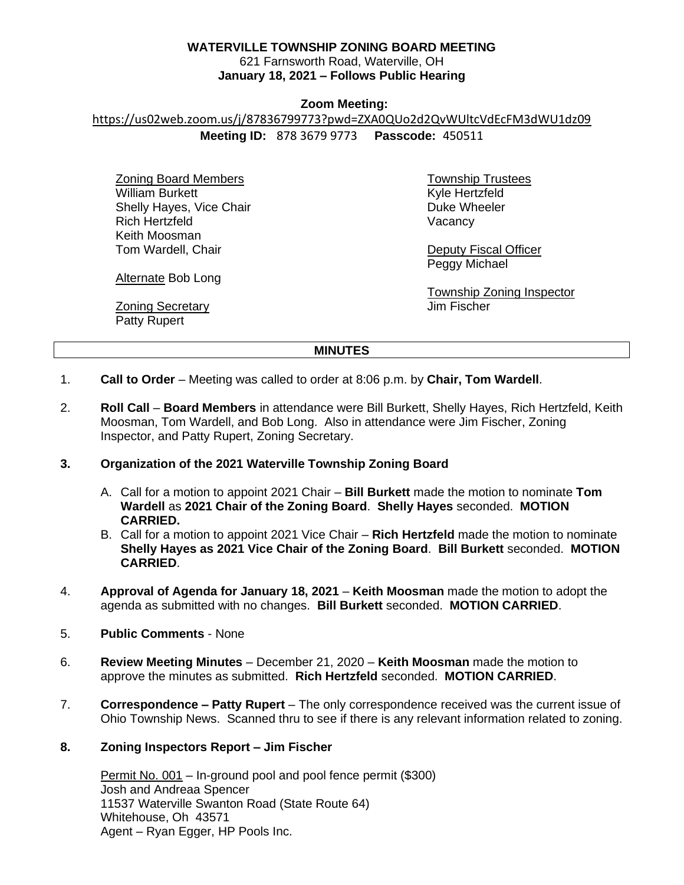# **WATERVILLE TOWNSHIP ZONING BOARD MEETING**

621 Farnsworth Road, Waterville, OH **January 18, 2021 – Follows Public Hearing**

### **Zoom Meeting:**

https://us02web.zoom.us/j/87836799773?pwd=ZXA0QUo2d2QvWUltcVdEcFM3dWU1dz09

**Meeting ID:** 878 3679 9773 **Passcode:** 450511

Zoning Board Members William Burkett Shelly Hayes, Vice Chair Rich Hertzfeld Keith Moosman Tom Wardell, Chair

Township Trustees Kyle Hertzfeld Duke Wheeler Vacancy

Deputy Fiscal Officer Peggy Michael

Township Zoning Inspector Jim Fischer

Alternate Bob Long

**Zoning Secretary** Patty Rupert

**MINUTES**

- 1. **Call to Order** Meeting was called to order at 8:06 p.m. by **Chair, Tom Wardell**.
- 2. **Roll Call Board Members** in attendance were Bill Burkett, Shelly Hayes, Rich Hertzfeld, Keith Moosman, Tom Wardell, and Bob Long. Also in attendance were Jim Fischer, Zoning Inspector, and Patty Rupert, Zoning Secretary.

# **3. Organization of the 2021 Waterville Township Zoning Board**

- A. Call for a motion to appoint 2021 Chair **Bill Burkett** made the motion to nominate **Tom Wardell** as **2021 Chair of the Zoning Board**. **Shelly Hayes** seconded. **MOTION CARRIED.**
- B. Call for a motion to appoint 2021 Vice Chair **Rich Hertzfeld** made the motion to nominate **Shelly Hayes as 2021 Vice Chair of the Zoning Board**. **Bill Burkett** seconded. **MOTION CARRIED**.
- 4. **Approval of Agenda for January 18, 2021 Keith Moosman** made the motion to adopt the agenda as submitted with no changes. **Bill Burkett** seconded. **MOTION CARRIED**.
- 5. **Public Comments** None
- 6. **Review Meeting Minutes** December 21, 2020 **Keith Moosman** made the motion to approve the minutes as submitted. **Rich Hertzfeld** seconded. **MOTION CARRIED**.
- 7. **Correspondence – Patty Rupert** The only correspondence received was the current issue of Ohio Township News. Scanned thru to see if there is any relevant information related to zoning.
- **8. Zoning Inspectors Report – Jim Fischer**

Permit No. 001 – In-ground pool and pool fence permit (\$300) Josh and Andreaa Spencer 11537 Waterville Swanton Road (State Route 64) Whitehouse, Oh 43571 Agent – Ryan Egger, HP Pools Inc.